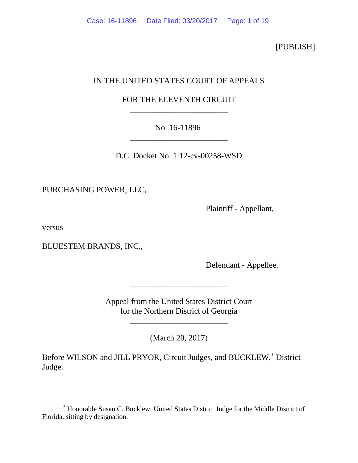[PUBLISH]

# IN THE UNITED STATES COURT OF APPEALS

# FOR THE ELEVENTH CIRCUIT \_\_\_\_\_\_\_\_\_\_\_\_\_\_\_\_\_\_\_\_\_\_\_\_

# No. 16-11896 \_\_\_\_\_\_\_\_\_\_\_\_\_\_\_\_\_\_\_\_\_\_\_\_

D.C. Docket No. 1:12-cv-00258-WSD

PURCHASING POWER, LLC,

Plaintiff - Appellant,

versus

BLUESTEM BRANDS, INC.,

Defendant - Appellee.

Appeal from the United States District Court for the Northern District of Georgia

\_\_\_\_\_\_\_\_\_\_\_\_\_\_\_\_\_\_\_\_\_\_\_\_

(March 20, 2017)

\_\_\_\_\_\_\_\_\_\_\_\_\_\_\_\_\_\_\_\_\_\_\_\_

Before WILSON and JILL PRYOR, Circuit Judges, and BUCKLEW,<sup>\*</sup> District Judge.

<span id="page-0-0"></span><sup>∗</sup> Honorable Susan C. Bucklew, United States District Judge for the Middle District of Florida, sitting by designation.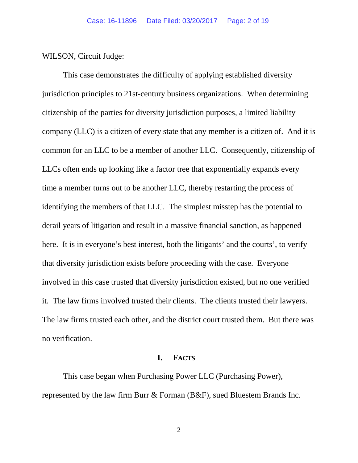WILSON, Circuit Judge:

This case demonstrates the difficulty of applying established diversity jurisdiction principles to 21st-century business organizations. When determining citizenship of the parties for diversity jurisdiction purposes, a limited liability company (LLC) is a citizen of every state that any member is a citizen of. And it is common for an LLC to be a member of another LLC. Consequently, citizenship of LLCs often ends up looking like a factor tree that exponentially expands every time a member turns out to be another LLC, thereby restarting the process of identifying the members of that LLC. The simplest misstep has the potential to derail years of litigation and result in a massive financial sanction, as happened here. It is in everyone's best interest, both the litigants' and the courts', to verify that diversity jurisdiction exists before proceeding with the case. Everyone involved in this case trusted that diversity jurisdiction existed, but no one verified it. The law firms involved trusted their clients. The clients trusted their lawyers. The law firms trusted each other, and the district court trusted them. But there was no verification.

## **I. FACTS**

This case began when Purchasing Power LLC (Purchasing Power), represented by the law firm Burr & Forman (B&F), sued Bluestem Brands Inc.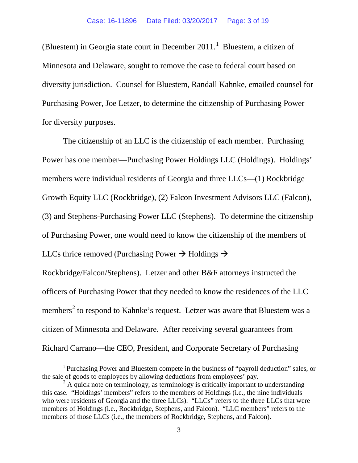(Bluestem) in Georgia state court in December  $2011$  $2011$  $2011$ .<sup>1</sup> Bluestem, a citizen of Minnesota and Delaware, sought to remove the case to federal court based on diversity jurisdiction. Counsel for Bluestem, Randall Kahnke, emailed counsel for Purchasing Power, Joe Letzer, to determine the citizenship of Purchasing Power for diversity purposes.

The citizenship of an LLC is the citizenship of each member. Purchasing Power has one member—Purchasing Power Holdings LLC (Holdings). Holdings' members were individual residents of Georgia and three LLCs—(1) Rockbridge Growth Equity LLC (Rockbridge), (2) Falcon Investment Advisors LLC (Falcon), (3) and Stephens-Purchasing Power LLC (Stephens). To determine the citizenship of Purchasing Power, one would need to know the citizenship of the members of LLCs thrice removed (Purchasing Power  $\rightarrow$  Holdings  $\rightarrow$ Rockbridge/Falcon/Stephens). Letzer and other B&F attorneys instructed the officers of Purchasing Power that they needed to know the residences of the LLC members<sup>[2](#page-2-1)</sup> to respond to Kahnke's request. Letzer was aware that Bluestem was a citizen of Minnesota and Delaware. After receiving several guarantees from Richard Carrano—the CEO, President, and Corporate Secretary of Purchasing

<span id="page-2-0"></span> <sup>1</sup> Purchasing Power and Bluestem compete in the business of "payroll deduction" sales, or the sale of goods to employees by allowing deductions from employees' pay.

<span id="page-2-1"></span> $2^2$  A quick note on terminology, as terminology is critically important to understanding this case. "Holdings' members" refers to the members of Holdings (i.e., the nine individuals who were residents of Georgia and the three LLCs). "LLCs" refers to the three LLCs that were members of Holdings (i.e., Rockbridge, Stephens, and Falcon). "LLC members" refers to the members of those LLCs (i.e., the members of Rockbridge, Stephens, and Falcon).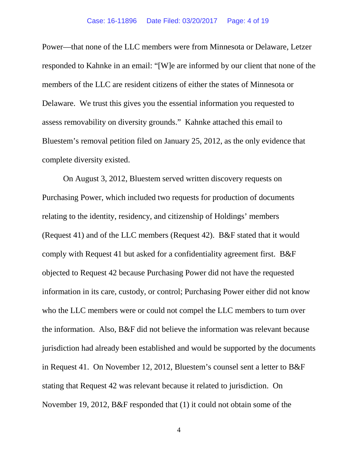Power—that none of the LLC members were from Minnesota or Delaware, Letzer responded to Kahnke in an email: "[W]e are informed by our client that none of the members of the LLC are resident citizens of either the states of Minnesota or Delaware. We trust this gives you the essential information you requested to assess removability on diversity grounds." Kahnke attached this email to Bluestem's removal petition filed on January 25, 2012, as the only evidence that complete diversity existed.

On August 3, 2012, Bluestem served written discovery requests on Purchasing Power, which included two requests for production of documents relating to the identity, residency, and citizenship of Holdings' members (Request 41) and of the LLC members (Request 42). B&F stated that it would comply with Request 41 but asked for a confidentiality agreement first. B&F objected to Request 42 because Purchasing Power did not have the requested information in its care, custody, or control; Purchasing Power either did not know who the LLC members were or could not compel the LLC members to turn over the information. Also, B&F did not believe the information was relevant because jurisdiction had already been established and would be supported by the documents in Request 41. On November 12, 2012, Bluestem's counsel sent a letter to B&F stating that Request 42 was relevant because it related to jurisdiction. On November 19, 2012, B&F responded that (1) it could not obtain some of the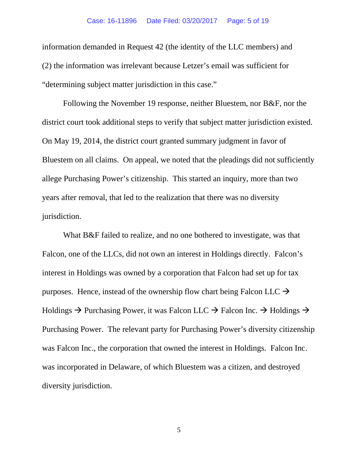information demanded in Request 42 (the identity of the LLC members) and (2) the information was irrelevant because Letzer's email was sufficient for "determining subject matter jurisdiction in this case."

Following the November 19 response, neither Bluestem, nor B&F, nor the district court took additional steps to verify that subject matter jurisdiction existed. On May 19, 2014, the district court granted summary judgment in favor of Bluestem on all claims. On appeal, we noted that the pleadings did not sufficiently allege Purchasing Power's citizenship. This started an inquiry, more than two years after removal, that led to the realization that there was no diversity jurisdiction.

What B&F failed to realize, and no one bothered to investigate, was that Falcon, one of the LLCs, did not own an interest in Holdings directly. Falcon's interest in Holdings was owned by a corporation that Falcon had set up for tax purposes. Hence, instead of the ownership flow chart being Falcon LLC  $\rightarrow$ Holdings  $\rightarrow$  Purchasing Power, it was Falcon LLC  $\rightarrow$  Falcon Inc.  $\rightarrow$  Holdings  $\rightarrow$ Purchasing Power. The relevant party for Purchasing Power's diversity citizenship was Falcon Inc., the corporation that owned the interest in Holdings. Falcon Inc. was incorporated in Delaware, of which Bluestem was a citizen, and destroyed diversity jurisdiction.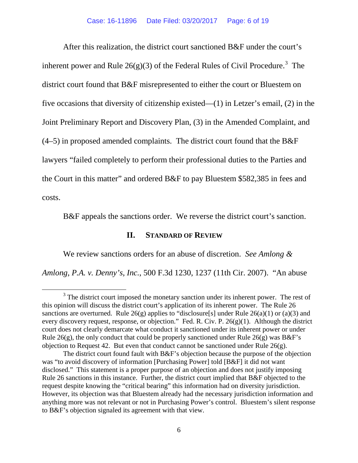After this realization, the district court sanctioned B&F under the court's inherent power and Rule  $26(g)(3)$  $26(g)(3)$  $26(g)(3)$  of the Federal Rules of Civil Procedure.<sup>3</sup> The district court found that B&F misrepresented to either the court or Bluestem on five occasions that diversity of citizenship existed—(1) in Letzer's email, (2) in the Joint Preliminary Report and Discovery Plan, (3) in the Amended Complaint, and  $(4–5)$  in proposed amended complaints. The district court found that the B&F lawyers "failed completely to perform their professional duties to the Parties and the Court in this matter" and ordered B&F to pay Bluestem \$582,385 in fees and costs.

B&F appeals the sanctions order. We reverse the district court's sanction.

## **II. STANDARD OF REVIEW**

We review sanctions orders for an abuse of discretion. *See Amlong &* 

*Amlong, P.A. v. Denny's, Inc.*, 500 F.3d 1230, 1237 (11th Cir. 2007). "An abuse

<span id="page-5-0"></span> $3$  The district court imposed the monetary sanction under its inherent power. The rest of this opinion will discuss the district court's application of its inherent power. The Rule 26 sanctions are overturned. Rule  $26(g)$  applies to "disclosure[s] under Rule  $26(a)(1)$  or  $(a)(3)$  and every discovery request, response, or objection." Fed. R. Civ. P. 26(g)(1). Although the district court does not clearly demarcate what conduct it sanctioned under its inherent power or under Rule 26(g), the only conduct that could be properly sanctioned under Rule 26(g) was B&F's objection to Request 42. But even that conduct cannot be sanctioned under Rule  $26(g)$ .

The district court found fault with B&F's objection because the purpose of the objection was "to avoid discovery of information [Purchasing Power] told [B&F] it did not want disclosed." This statement is a proper purpose of an objection and does not justify imposing Rule 26 sanctions in this instance. Further, the district court implied that B&F objected to the request despite knowing the "critical bearing" this information had on diversity jurisdiction. However, its objection was that Bluestem already had the necessary jurisdiction information and anything more was not relevant or not in Purchasing Power's control. Bluestem's silent response to B&F's objection signaled its agreement with that view.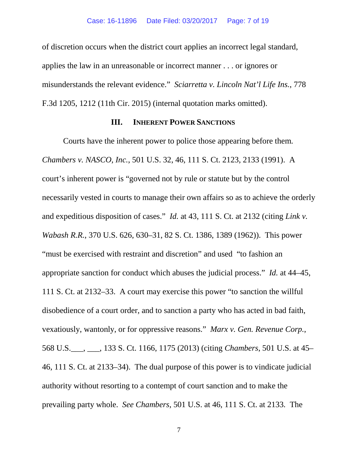of discretion occurs when the district court applies an incorrect legal standard, applies the law in an unreasonable or incorrect manner . . . or ignores or misunderstands the relevant evidence." *Sciarretta v. Lincoln Nat'l Life Ins.*, 778 F.3d 1205, 1212 (11th Cir. 2015) (internal quotation marks omitted).

#### **III. INHERENT POWER SANCTIONS**

Courts have the inherent power to police those appearing before them. *Chambers v. NASCO, Inc.*, 501 U.S. 32, 46, 111 S. Ct. 2123, 2133 (1991). A court's inherent power is "governed not by rule or statute but by the control necessarily vested in courts to manage their own affairs so as to achieve the orderly and expeditious disposition of cases." *Id.* at 43, 111 S. Ct. at 2132 (citing *Link v. Wabash R.R.*, 370 U.S. 626, 630–31, 82 S. Ct. 1386, 1389 (1962)). This power "must be exercised with restraint and discretion" and used "to fashion an appropriate sanction for conduct which abuses the judicial process." *Id.* at 44–45, 111 S. Ct. at 2132–33. A court may exercise this power "to sanction the willful disobedience of a court order, and to sanction a party who has acted in bad faith, vexatiously, wantonly, or for oppressive reasons." *Marx v. Gen. Revenue Corp.*, 568 U.S.\_\_\_, \_\_\_, 133 S. Ct. 1166, 1175 (2013) (citing *Chambers*, 501 U.S. at 45– 46, 111 S. Ct. at 2133–34). The dual purpose of this power is to vindicate judicial authority without resorting to a contempt of court sanction and to make the prevailing party whole. *See Chambers*, 501 U.S. at 46, 111 S. Ct. at 2133*.* The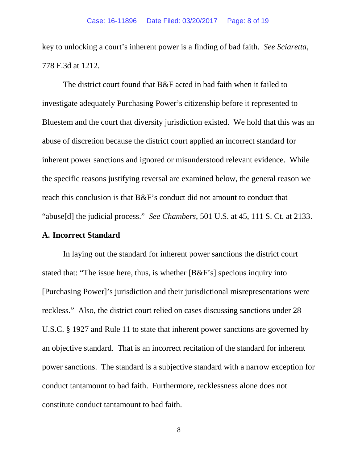key to unlocking a court's inherent power is a finding of bad faith. *See Sciaretta*, 778 F.3d at 1212.

The district court found that B&F acted in bad faith when it failed to investigate adequately Purchasing Power's citizenship before it represented to Bluestem and the court that diversity jurisdiction existed. We hold that this was an abuse of discretion because the district court applied an incorrect standard for inherent power sanctions and ignored or misunderstood relevant evidence. While the specific reasons justifying reversal are examined below, the general reason we reach this conclusion is that B&F's conduct did not amount to conduct that "abuse[d] the judicial process." *See Chambers*, 501 U.S. at 45, 111 S. Ct. at 2133.

#### **A. Incorrect Standard**

In laying out the standard for inherent power sanctions the district court stated that: "The issue here, thus, is whether [B&F's] specious inquiry into [Purchasing Power]'s jurisdiction and their jurisdictional misrepresentations were reckless." Also, the district court relied on cases discussing sanctions under 28 U.S.C. § 1927 and Rule 11 to state that inherent power sanctions are governed by an objective standard. That is an incorrect recitation of the standard for inherent power sanctions. The standard is a subjective standard with a narrow exception for conduct tantamount to bad faith. Furthermore, recklessness alone does not constitute conduct tantamount to bad faith.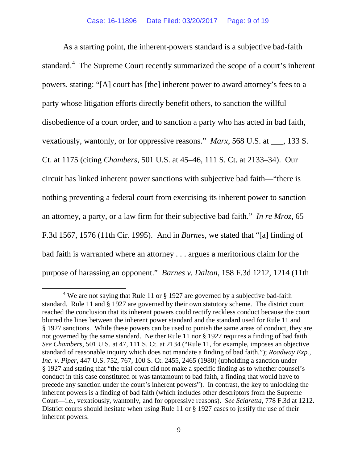As a starting point, the inherent-powers standard is a subjective bad-faith standard.<sup>[4](#page-8-0)</sup> The Supreme Court recently summarized the scope of a court's inherent powers, stating: "[A] court has [the] inherent power to award attorney's fees to a party whose litigation efforts directly benefit others, to sanction the willful disobedience of a court order, and to sanction a party who has acted in bad faith, vexatiously, wantonly, or for oppressive reasons." *Marx*, 568 U.S. at \_\_\_, 133 S. Ct. at 1175 (citing *Chambers*, 501 U.S. at 45–46, 111 S. Ct. at 2133–34). Our circuit has linked inherent power sanctions with subjective bad faith—"there is nothing preventing a federal court from exercising its inherent power to sanction an attorney, a party, or a law firm for their subjective bad faith." *In re Mroz*, 65 F.3d 1567, 1576 (11th Cir. 1995). And in *Barne*s, we stated that "[a] finding of bad faith is warranted where an attorney . . . argues a meritorious claim for the purpose of harassing an opponent." *Barnes v. Dalton*, 158 F.3d 1212, 1214 (11th

<span id="page-8-0"></span><sup>&</sup>lt;sup>4</sup> We are not saying that Rule 11 or  $\S$  1927 are governed by a subjective bad-faith standard. Rule 11 and § 1927 are governed by their own statutory scheme. The district court reached the conclusion that its inherent powers could rectify reckless conduct because the court blurred the lines between the inherent power standard and the standard used for Rule 11 and § 1927 sanctions. While these powers can be used to punish the same areas of conduct, they are not governed by the same standard. Neither Rule 11 nor § 1927 requires a finding of bad faith. *See Chambers*, 501 U.S. at 47, 111 S. Ct. at 2134 ("Rule 11, for example, imposes an objective standard of reasonable inquiry which does not mandate a finding of bad faith."); *Roadway Exp., Inc. v. Piper*, 447 U.S. 752, 767, 100 S. Ct. 2455, 2465 (1980) (upholding a sanction under § 1927 and stating that "the trial court did not make a specific finding as to whether counsel's conduct in this case constituted or was tantamount to bad faith, a finding that would have to precede any sanction under the court's inherent powers"). In contrast, the key to unlocking the inherent powers is a finding of bad faith (which includes other descriptors from the Supreme Court—i.e., vexatiously, wantonly, and for oppressive reasons). *See Sciaretta*, 778 F.3d at 1212. District courts should hesitate when using Rule 11 or § 1927 cases to justify the use of their inherent powers.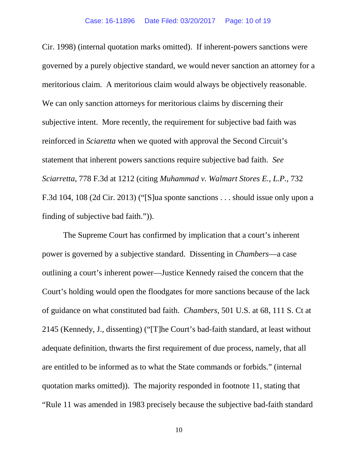Cir. 1998) (internal quotation marks omitted). If inherent-powers sanctions were governed by a purely objective standard, we would never sanction an attorney for a meritorious claim. A meritorious claim would always be objectively reasonable. We can only sanction attorneys for meritorious claims by discerning their subjective intent. More recently, the requirement for subjective bad faith was reinforced in *Sciaretta* when we quoted with approval the Second Circuit's statement that inherent powers sanctions require subjective bad faith. *See Sciarretta*, 778 F.3d at 1212 (citing *Muhammad v. Walmart Stores E., L.P.*, 732 F.3d 104, 108 (2d Cir. 2013) ("[S]ua sponte sanctions . . . should issue only upon a finding of subjective bad faith.")).

The Supreme Court has confirmed by implication that a court's inherent power is governed by a subjective standard. Dissenting in *Chambers*—a case outlining a court's inherent power—Justice Kennedy raised the concern that the Court's holding would open the floodgates for more sanctions because of the lack of guidance on what constituted bad faith. *Chambers*, 501 U.S. at 68, 111 S. Ct at 2145 (Kennedy, J., dissenting) ("[T]he Court's bad-faith standard, at least without adequate definition, thwarts the first requirement of due process, namely, that all are entitled to be informed as to what the State commands or forbids." (internal quotation marks omitted)).The majority responded in footnote 11, stating that "Rule 11 was amended in 1983 precisely because the subjective bad-faith standard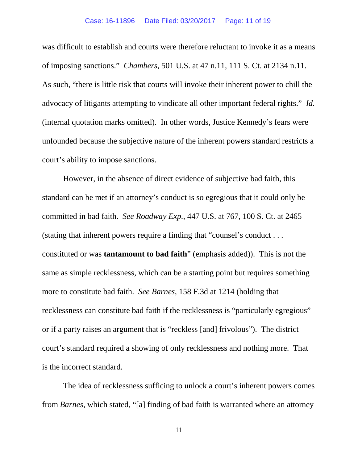was difficult to establish and courts were therefore reluctant to invoke it as a means of imposing sanctions." *Chambers*, 501 U.S. at 47 n.11, 111 S. Ct. at 2134 n.11. As such, "there is little risk that courts will invoke their inherent power to chill the advocacy of litigants attempting to vindicate all other important federal rights." *Id.*  (internal quotation marks omitted). In other words, Justice Kennedy's fears were unfounded because the subjective nature of the inherent powers standard restricts a court's ability to impose sanctions.

However, in the absence of direct evidence of subjective bad faith, this standard can be met if an attorney's conduct is so egregious that it could only be committed in bad faith. *See Roadway Exp.*, 447 U.S. at 767, 100 S. Ct. at 2465 (stating that inherent powers require a finding that "counsel's conduct . . . constituted or was **tantamount to bad faith**" (emphasis added)). This is not the same as simple recklessness, which can be a starting point but requires something more to constitute bad faith. *See Barnes*, 158 F.3d at 1214 (holding that recklessness can constitute bad faith if the recklessness is "particularly egregious" or if a party raises an argument that is "reckless [and] frivolous"). The district court's standard required a showing of only recklessness and nothing more. That is the incorrect standard.

The idea of recklessness sufficing to unlock a court's inherent powers comes from *Barnes*, which stated, "[a] finding of bad faith is warranted where an attorney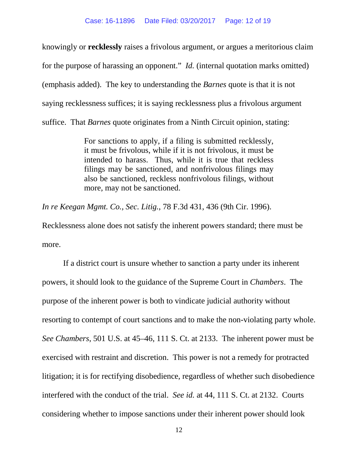knowingly or **recklessly** raises a frivolous argument, or argues a meritorious claim for the purpose of harassing an opponent." *Id.* (internal quotation marks omitted) (emphasis added). The key to understanding the *Barnes* quote is that it is not saying recklessness suffices; it is saying recklessness plus a frivolous argument suffice. That *Barnes* quote originates from a Ninth Circuit opinion, stating:

> For sanctions to apply, if a filing is submitted recklessly, it must be frivolous, while if it is not frivolous, it must be intended to harass. Thus, while it is true that reckless filings may be sanctioned, and nonfrivolous filings may also be sanctioned, reckless nonfrivolous filings, without more, may not be sanctioned.

*In re Keegan Mgmt. Co., Sec. Litig.*, 78 F.3d 431, 436 (9th Cir. 1996).

Recklessness alone does not satisfy the inherent powers standard; there must be more.

If a district court is unsure whether to sanction a party under its inherent powers, it should look to the guidance of the Supreme Court in *Chambers*.The purpose of the inherent power is both to vindicate judicial authority without resorting to contempt of court sanctions and to make the non-violating party whole. *See Chambers*, 501 U.S. at 45–46, 111 S. Ct. at 2133. The inherent power must be exercised with restraint and discretion. This power is not a remedy for protracted litigation; it is for rectifying disobedience, regardless of whether such disobedience interfered with the conduct of the trial. *See id.* at 44, 111 S. Ct. at 2132. Courts considering whether to impose sanctions under their inherent power should look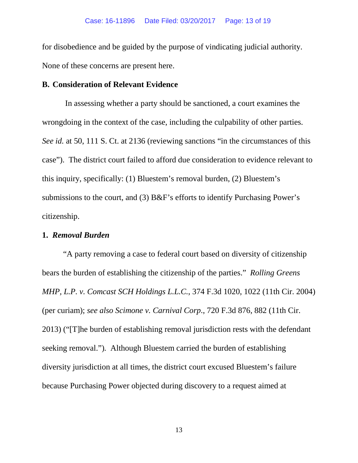for disobedience and be guided by the purpose of vindicating judicial authority. None of these concerns are present here.

## **B. Consideration of Relevant Evidence**

In assessing whether a party should be sanctioned, a court examines the wrongdoing in the context of the case, including the culpability of other parties. *See id.* at 50, 111 S. Ct. at 2136 (reviewing sanctions "in the circumstances of this case"). The district court failed to afford due consideration to evidence relevant to this inquiry, specifically: (1) Bluestem's removal burden, (2) Bluestem's submissions to the court, and (3) B&F's efforts to identify Purchasing Power's citizenship.

## **1.** *Removal Burden*

"A party removing a case to federal court based on diversity of citizenship bears the burden of establishing the citizenship of the parties." *Rolling Greens MHP, L.P. v. Comcast SCH Holdings L.L.C.*, 374 F.3d 1020, 1022 (11th Cir. 2004) (per curiam); *see also Scimone v. Carnival Corp*., 720 F.3d 876, 882 (11th Cir. 2013) ("[T]he burden of establishing removal jurisdiction rests with the defendant seeking removal.")*.* Although Bluestem carried the burden of establishing diversity jurisdiction at all times, the district court excused Bluestem's failure because Purchasing Power objected during discovery to a request aimed at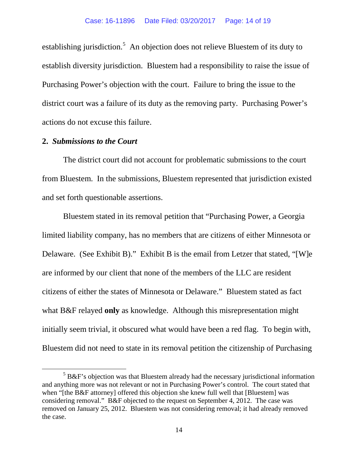establishing jurisdiction.<sup>[5](#page-13-0)</sup> An objection does not relieve Bluestem of its duty to establish diversity jurisdiction. Bluestem had a responsibility to raise the issue of Purchasing Power's objection with the court. Failure to bring the issue to the district court was a failure of its duty as the removing party. Purchasing Power's actions do not excuse this failure.

#### **2.** *Submissions to the Court*

The district court did not account for problematic submissions to the court from Bluestem. In the submissions, Bluestem represented that jurisdiction existed and set forth questionable assertions.

Bluestem stated in its removal petition that "Purchasing Power, a Georgia limited liability company, has no members that are citizens of either Minnesota or Delaware. (See Exhibit B)." Exhibit B is the email from Letzer that stated, "[W]e are informed by our client that none of the members of the LLC are resident citizens of either the states of Minnesota or Delaware." Bluestem stated as fact what B&F relayed **only** as knowledge. Although this misrepresentation might initially seem trivial, it obscured what would have been a red flag. To begin with, Bluestem did not need to state in its removal petition the citizenship of Purchasing

<span id="page-13-0"></span> $5 B&F$ 's objection was that Bluestem already had the necessary jurisdictional information and anything more was not relevant or not in Purchasing Power's control. The court stated that when "[the B&F attorney] offered this objection she knew full well that [Bluestem] was considering removal." B&F objected to the request on September 4, 2012. The case was removed on January 25, 2012. Bluestem was not considering removal; it had already removed the case.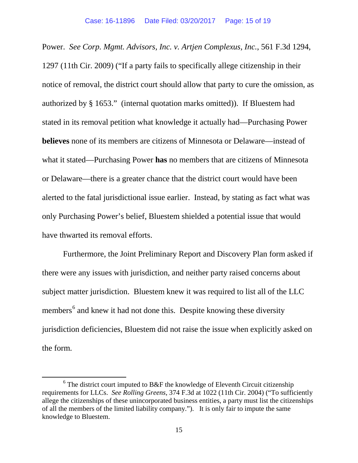Power. *See Corp. Mgmt. Advisors, Inc. v. Artjen Complexus, Inc.*, 561 F.3d 1294, 1297 (11th Cir. 2009) ("If a party fails to specifically allege citizenship in their notice of removal, the district court should allow that party to cure the omission, as authorized by § 1653." (internal quotation marks omitted)). If Bluestem had stated in its removal petition what knowledge it actually had—Purchasing Power **believes** none of its members are citizens of Minnesota or Delaware—instead of what it stated—Purchasing Power **has** no members that are citizens of Minnesota or Delaware—there is a greater chance that the district court would have been alerted to the fatal jurisdictional issue earlier. Instead, by stating as fact what was only Purchasing Power's belief, Bluestem shielded a potential issue that would have thwarted its removal efforts.

Furthermore, the Joint Preliminary Report and Discovery Plan form asked if there were any issues with jurisdiction, and neither party raised concerns about subject matter jurisdiction. Bluestem knew it was required to list all of the LLC members<sup>[6](#page-14-0)</sup> and knew it had not done this. Despite knowing these diversity jurisdiction deficiencies, Bluestem did not raise the issue when explicitly asked on the form.

<span id="page-14-0"></span> $6$  The district court imputed to B&F the knowledge of Eleventh Circuit citizenship requirements for LLCs. *See Rolling Greens*, 374 F.3d at 1022 (11th Cir. 2004) ("To sufficiently allege the citizenships of these unincorporated business entities, a party must list the citizenships of all the members of the limited liability company."). It is only fair to impute the same knowledge to Bluestem.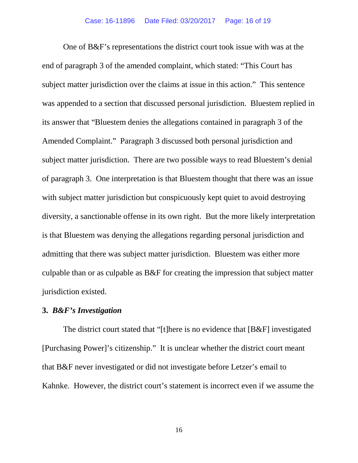One of B&F's representations the district court took issue with was at the end of paragraph 3 of the amended complaint, which stated: "This Court has subject matter jurisdiction over the claims at issue in this action." This sentence was appended to a section that discussed personal jurisdiction. Bluestem replied in its answer that "Bluestem denies the allegations contained in paragraph 3 of the Amended Complaint." Paragraph 3 discussed both personal jurisdiction and subject matter jurisdiction. There are two possible ways to read Bluestem's denial of paragraph 3. One interpretation is that Bluestem thought that there was an issue with subject matter jurisdiction but conspicuously kept quiet to avoid destroying diversity, a sanctionable offense in its own right. But the more likely interpretation is that Bluestem was denying the allegations regarding personal jurisdiction and admitting that there was subject matter jurisdiction. Bluestem was either more culpable than or as culpable as B&F for creating the impression that subject matter jurisdiction existed.

#### **3.** *B&F's Investigation*

The district court stated that "[t]here is no evidence that [B&F] investigated [Purchasing Power]'s citizenship." It is unclear whether the district court meant that B&F never investigated or did not investigate before Letzer's email to Kahnke. However, the district court's statement is incorrect even if we assume the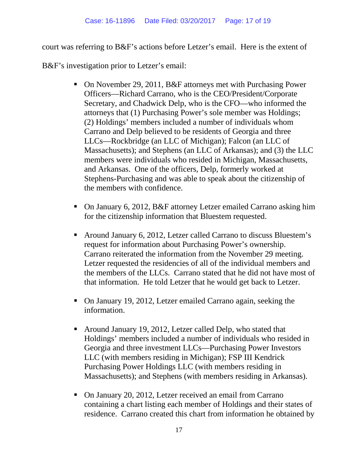court was referring to B&F's actions before Letzer's email. Here is the extent of

B&F's investigation prior to Letzer's email:

- On November 29, 2011, B&F attorneys met with Purchasing Power Officers—Richard Carrano, who is the CEO/President/Corporate Secretary, and Chadwick Delp, who is the CFO—who informed the attorneys that (1) Purchasing Power's sole member was Holdings; (2) Holdings' members included a number of individuals whom Carrano and Delp believed to be residents of Georgia and three LLCs—Rockbridge (an LLC of Michigan); Falcon (an LLC of Massachusetts); and Stephens (an LLC of Arkansas); and (3) the LLC members were individuals who resided in Michigan, Massachusetts, and Arkansas. One of the officers, Delp, formerly worked at Stephens-Purchasing and was able to speak about the citizenship of the members with confidence.
- On January 6, 2012, B&F attorney Letzer emailed Carrano asking him for the citizenship information that Bluestem requested.
- Around January 6, 2012, Letzer called Carrano to discuss Bluestem's request for information about Purchasing Power's ownership. Carrano reiterated the information from the November 29 meeting. Letzer requested the residencies of all of the individual members and the members of the LLCs. Carrano stated that he did not have most of that information. He told Letzer that he would get back to Letzer.
- On January 19, 2012, Letzer emailed Carrano again, seeking the information.
- Around January 19, 2012, Letzer called Delp, who stated that Holdings' members included a number of individuals who resided in Georgia and three investment LLCs—Purchasing Power Investors LLC (with members residing in Michigan); FSP III Kendrick Purchasing Power Holdings LLC (with members residing in Massachusetts); and Stephens (with members residing in Arkansas).
- On January 20, 2012, Letzer received an email from Carrano containing a chart listing each member of Holdings and their states of residence. Carrano created this chart from information he obtained by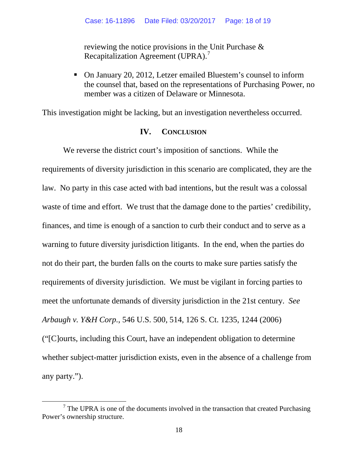reviewing the notice provisions in the Unit Purchase & Recapitalization Agreement (UPRA).<sup>[7](#page-17-0)</sup>

 On January 20, 2012, Letzer emailed Bluestem's counsel to inform the counsel that, based on the representations of Purchasing Power, no member was a citizen of Delaware or Minnesota.

This investigation might be lacking, but an investigation nevertheless occurred.

## **IV. CONCLUSION**

We reverse the district court's imposition of sanctions. While the requirements of diversity jurisdiction in this scenario are complicated, they are the law. No party in this case acted with bad intentions, but the result was a colossal waste of time and effort. We trust that the damage done to the parties' credibility, finances, and time is enough of a sanction to curb their conduct and to serve as a warning to future diversity jurisdiction litigants. In the end, when the parties do not do their part, the burden falls on the courts to make sure parties satisfy the requirements of diversity jurisdiction. We must be vigilant in forcing parties to meet the unfortunate demands of diversity jurisdiction in the 21st century. *See Arbaugh v. Y&H Corp.*, 546 U.S. 500, 514, 126 S. Ct. 1235, 1244 (2006) ("[C]ourts, including this Court, have an independent obligation to determine whether subject-matter jurisdiction exists, even in the absence of a challenge from any party.").

<span id="page-17-0"></span> $<sup>7</sup>$  The UPRA is one of the documents involved in the transaction that created Purchasing</sup> Power's ownership structure.